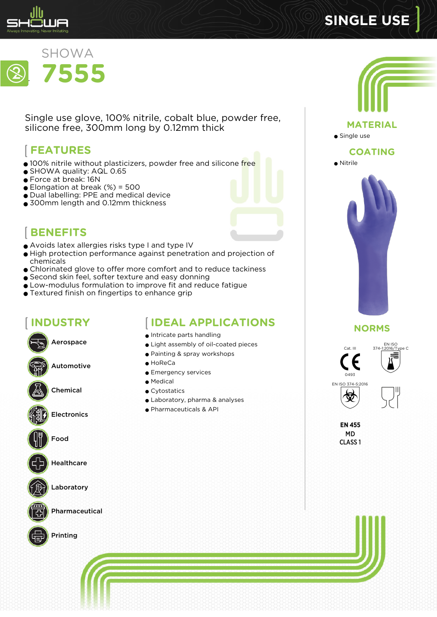

# **SINGLE USE**



Single use glove, 100% nitrile, cobalt blue, powder free, silicone free, 300mm long by 0.12mm thick

# **FEATURES**

- 100% nitrile without plasticizers, powder free and silicone free
- SHOWA quality: AQL 0.65
- Force at break: 16N
- $\bullet$  Elongation at break (%) = 500
- Dual labelling: PPE and medical device
- 300mm length and 0.12mm thickness



# **BENEFITS**

- Avoids latex allergies risks type I and type IV
- High protection performance against penetration and projection of chemicals
- Chlorinated glove to offer more comfort and to reduce tackiness
- Second skin feel, softer texture and easy donning
- Low-modulus formulation to improve fit and reduce fatigue
- Textured finish on fingertips to enhance grip

#### **INDUSTRY**

**IDEAL APPLICATIONS**

Aerospace

Automotive

Chemical

**Electronics** 



Food



**Healthcare** 



Laboratory



Pharmaceutical



- Intricate parts handling ● Light assembly of oil-coated pieces
- Painting & spray workshops
- HoReCa
- Emergency services
- Medical
- Cytostatics
- Laboratory, pharma & analyses
- Pharmaceuticals & API